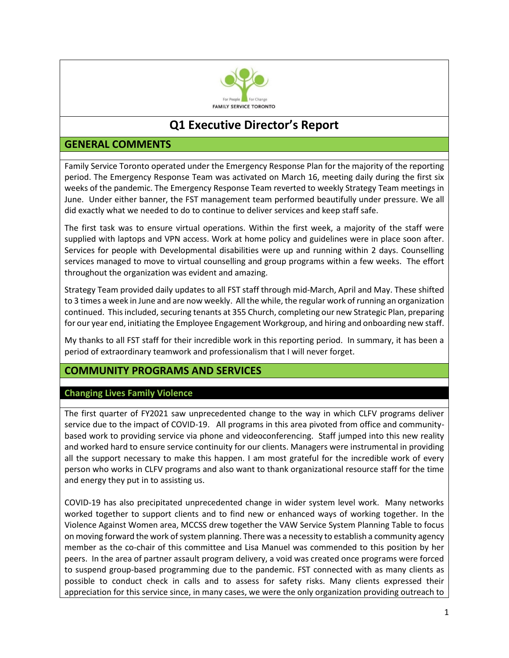

# **Q1 Executive Director's Report**

# **GENERAL COMMENTS**

Family Service Toronto operated under the Emergency Response Plan for the majority of the reporting period. The Emergency Response Team was activated on March 16, meeting daily during the first six weeks of the pandemic. The Emergency Response Team reverted to weekly Strategy Team meetings in June. Under either banner, the FST management team performed beautifully under pressure. We all did exactly what we needed to do to continue to deliver services and keep staff safe.

The first task was to ensure virtual operations. Within the first week, a majority of the staff were supplied with laptops and VPN access. Work at home policy and guidelines were in place soon after. Services for people with Developmental disabilities were up and running within 2 days. Counselling services managed to move to virtual counselling and group programs within a few weeks. The effort throughout the organization was evident and amazing.

Strategy Team provided daily updates to all FST staff through mid-March, April and May. These shifted to 3 times a week in June and are now weekly. All the while, the regular work of running an organization continued. This included, securing tenants at 355 Church, completing our new Strategic Plan, preparing for our year end, initiating the Employee Engagement Workgroup, and hiring and onboarding new staff.

My thanks to all FST staff for their incredible work in this reporting period. In summary, it has been a period of extraordinary teamwork and professionalism that I will never forget.

# **COMMUNITY PROGRAMS AND SERVICES**

## **Changing Lives Family Violence**

The first quarter of FY2021 saw unprecedented change to the way in which CLFV programs deliver service due to the impact of COVID-19. All programs in this area pivoted from office and communitybased work to providing service via phone and videoconferencing. Staff jumped into this new reality and worked hard to ensure service continuity for our clients. Managers were instrumental in providing all the support necessary to make this happen. I am most grateful for the incredible work of every person who works in CLFV programs and also want to thank organizational resource staff for the time and energy they put in to assisting us.

COVID-19 has also precipitated unprecedented change in wider system level work. Many networks worked together to support clients and to find new or enhanced ways of working together. In the Violence Against Women area, MCCSS drew together the VAW Service System Planning Table to focus on moving forward the work of system planning. There was a necessity to establish a community agency member as the co-chair of this committee and Lisa Manuel was commended to this position by her peers. In the area of partner assault program delivery, a void was created once programs were forced to suspend group-based programming due to the pandemic. FST connected with as many clients as possible to conduct check in calls and to assess for safety risks. Many clients expressed their appreciation for this service since, in many cases, we were the only organization providing outreach to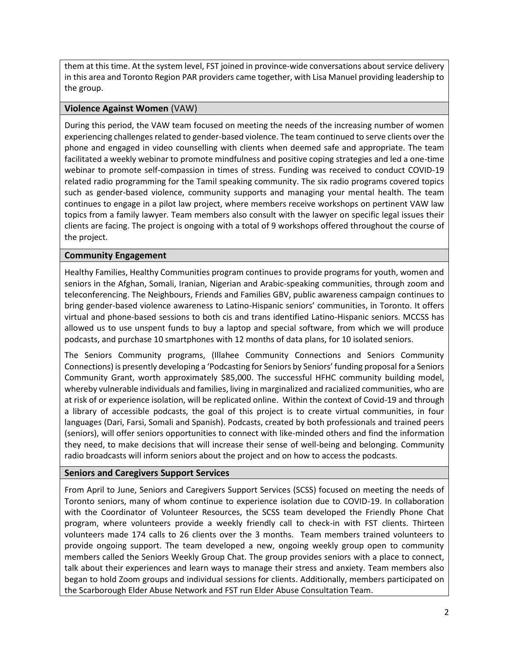them at this time. At the system level, FST joined in province-wide conversations about service delivery in this area and Toronto Region PAR providers came together, with Lisa Manuel providing leadership to the group.

## **Violence Against Women** (VAW)

During this period, the VAW team focused on meeting the needs of the increasing number of women experiencing challenges related to gender-based violence. The team continued to serve clients over the phone and engaged in video counselling with clients when deemed safe and appropriate. The team facilitated a weekly webinar to promote mindfulness and positive coping strategies and led a one-time webinar to promote self-compassion in times of stress. Funding was received to conduct COVID-19 related radio programming for the Tamil speaking community. The six radio programs covered topics such as gender-based violence, community supports and managing your mental health. The team continues to engage in a pilot law project, where members receive workshops on pertinent VAW law topics from a family lawyer. Team members also consult with the lawyer on specific legal issues their clients are facing. The project is ongoing with a total of 9 workshops offered throughout the course of the project.

## **Community Engagement**

Healthy Families, Healthy Communities program continues to provide programs for youth, women and seniors in the Afghan, Somali, Iranian, Nigerian and Arabic-speaking communities, through zoom and teleconferencing. The Neighbours, Friends and Families GBV, public awareness campaign continues to bring gender-based violence awareness to Latino-Hispanic seniors' communities, in Toronto. It offers virtual and phone-based sessions to both cis and trans identified Latino-Hispanic seniors. MCCSS has allowed us to use unspent funds to buy a laptop and special software, from which we will produce podcasts, and purchase 10 smartphones with 12 months of data plans, for 10 isolated seniors.

The Seniors Community programs, (Illahee Community Connections and Seniors Community Connections) is presently developing a 'Podcasting for Seniors by Seniors' funding proposal for a Seniors Community Grant, worth approximately \$85,000. The successful HFHC community building model, whereby vulnerable individuals and families, living in marginalized and racialized communities, who are at risk of or experience isolation, will be replicated online. Within the context of Covid-19 and through a library of accessible podcasts, the goal of this project is to create virtual communities, in four languages (Dari, Farsi, Somali and Spanish). Podcasts, created by both professionals and trained peers (seniors), will offer seniors opportunities to connect with like-minded others and find the information they need, to make decisions that will increase their sense of well-being and belonging. Community radio broadcasts will inform seniors about the project and on how to access the podcasts.

#### **Seniors and Caregivers Support Services**

From April to June, Seniors and Caregivers Support Services (SCSS) focused on meeting the needs of Toronto seniors, many of whom continue to experience isolation due to COVID-19. In collaboration with the Coordinator of Volunteer Resources, the SCSS team developed the Friendly Phone Chat program, where volunteers provide a weekly friendly call to check-in with FST clients. Thirteen volunteers made 174 calls to 26 clients over the 3 months. Team members trained volunteers to provide ongoing support. The team developed a new, ongoing weekly group open to community members called the Seniors Weekly Group Chat. The group provides seniors with a place to connect, talk about their experiences and learn ways to manage their stress and anxiety. Team members also began to hold Zoom groups and individual sessions for clients. Additionally, members participated on the Scarborough Elder Abuse Network and FST run Elder Abuse Consultation Team.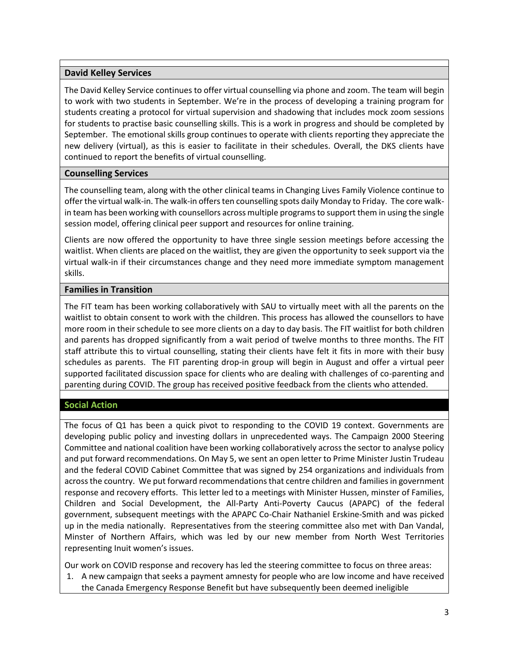## **David Kelley Services**

The David Kelley Service continues to offer virtual counselling via phone and zoom. The team will begin to work with two students in September. We're in the process of developing a training program for students creating a protocol for virtual supervision and shadowing that includes mock zoom sessions for students to practise basic counselling skills. This is a work in progress and should be completed by September. The emotional skills group continues to operate with clients reporting they appreciate the new delivery (virtual), as this is easier to facilitate in their schedules. Overall, the DKS clients have continued to report the benefits of virtual counselling.

## **Counselling Services**

The counselling team, along with the other clinical teams in Changing Lives Family Violence continue to offer the virtual walk-in. The walk-in offers ten counselling spots daily Monday to Friday. The core walkin team has been working with counsellors across multiple programs to support them in using the single session model, offering clinical peer support and resources for online training.

Clients are now offered the opportunity to have three single session meetings before accessing the waitlist. When clients are placed on the waitlist, they are given the opportunity to seek support via the virtual walk-in if their circumstances change and they need more immediate symptom management skills.

## **Families in Transition**

The FIT team has been working collaboratively with SAU to virtually meet with all the parents on the waitlist to obtain consent to work with the children. This process has allowed the counsellors to have more room in their schedule to see more clients on a day to day basis. The FIT waitlist for both children and parents has dropped significantly from a wait period of twelve months to three months. The FIT staff attribute this to virtual counselling, stating their clients have felt it fits in more with their busy schedules as parents. The FIT parenting drop-in group will begin in August and offer a virtual peer supported facilitated discussion space for clients who are dealing with challenges of co-parenting and parenting during COVID. The group has received positive feedback from the clients who attended.

## **Social Action**

The focus of Q1 has been a quick pivot to responding to the COVID 19 context. Governments are developing public policy and investing dollars in unprecedented ways. The Campaign 2000 Steering Committee and national coalition have been working collaboratively across the sector to analyse policy and put forward recommendations. On May 5, we sent an open letter to Prime Minister Justin Trudeau and the federal COVID Cabinet Committee that was signed by 254 organizations and individuals from across the country. We put forward recommendations that centre children and families in government response and recovery efforts. This letter led to a meetings with Minister Hussen, minster of Families, Children and Social Development, the All-Party Anti-Poverty Caucus (APAPC) of the federal government, subsequent meetings with the APAPC Co-Chair Nathaniel Erskine-Smith and was picked up in the media nationally. Representatives from the steering committee also met with Dan Vandal, Minster of Northern Affairs, which was led by our new member from North West Territories representing Inuit women's issues.

Our work on COVID response and recovery has led the steering committee to focus on three areas:

1. A new campaign that seeks a payment amnesty for people who are low income and have received the Canada Emergency Response Benefit but have subsequently been deemed ineligible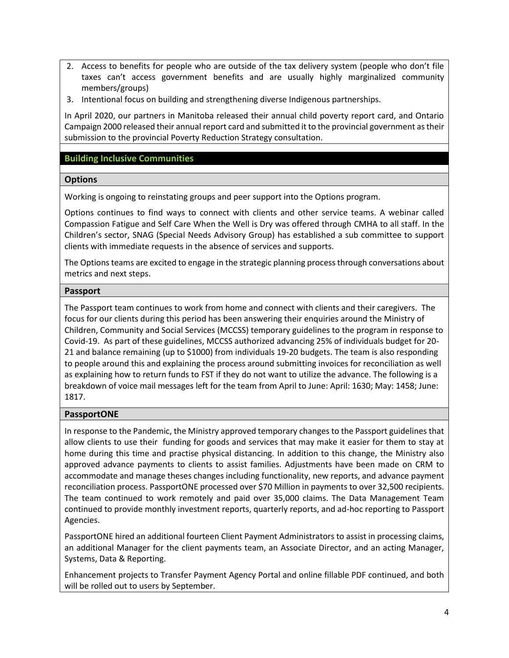- 2. Access to benefits for people who are outside of the tax delivery system (people who don't file taxes can't access government benefits and are usually highly marginalized community members/groups)
- 3. Intentional focus on building and strengthening diverse Indigenous partnerships.

In April 2020, our partners in Manitoba released their annual child poverty report card, and Ontario Campaign 2000 released their annual report card and submitted it to the provincial government as their submission to the provincial Poverty Reduction Strategy consultation.

## **Building Inclusive Communities**

#### **Options**

Working is ongoing to reinstating groups and peer support into the Options program.

Options continues to find ways to connect with clients and other service teams. A webinar called Compassion Fatigue and Self Care When the Well is Dry was offered through CMHA to all staff. In the Children's sector, SNAG (Special Needs Advisory Group) has established a sub committee to support clients with immediate requests in the absence of services and supports.

The Options teams are excited to engage in the strategic planning process through conversations about metrics and next steps.

#### **Passport**

The Passport team continues to work from home and connect with clients and their caregivers. The focus for our clients during this period has been answering their enquiries around the Ministry of Children, Community and Social Services (MCCSS) temporary guidelines to the program in response to Covid-19. As part of these guidelines, MCCSS authorized advancing 25% of individuals budget for 20- 21 and balance remaining (up to \$1000) from individuals 19-20 budgets. The team is also responding to people around this and explaining the process around submitting invoices for reconciliation as well as explaining how to return funds to FST if they do not want to utilize the advance. The following is a breakdown of voice mail messages left for the team from April to June: April: 1630; May: 1458; June: 1817.

## **PassportONE**

In response to the Pandemic, the Ministry approved temporary changes to the Passport guidelines that allow clients to use their funding for goods and services that may make it easier for them to stay at home during this time and practise physical distancing. In addition to this change, the Ministry also approved advance payments to clients to assist families. Adjustments have been made on CRM to accommodate and manage theses changes including functionality, new reports, and advance payment reconciliation process. PassportONE processed over \$70 Million in payments to over 32,500 recipients. The team continued to work remotely and paid over 35,000 claims. The Data Management Team continued to provide monthly investment reports, quarterly reports, and ad-hoc reporting to Passport Agencies.

PassportONE hired an additional fourteen Client Payment Administrators to assist in processing claims, an additional Manager for the client payments team, an Associate Director, and an acting Manager, Systems, Data & Reporting.

Enhancement projects to Transfer Payment Agency Portal and online fillable PDF continued, and both will be rolled out to users by September.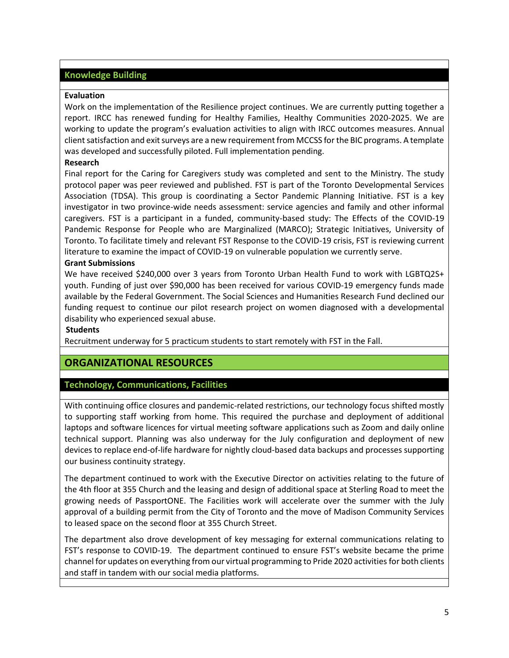## **Knowledge Building**

#### **Evaluation**

Work on the implementation of the Resilience project continues. We are currently putting together a report. IRCC has renewed funding for Healthy Families, Healthy Communities 2020-2025. We are working to update the program's evaluation activities to align with IRCC outcomes measures. Annual client satisfaction and exit surveys are a new requirement from MCCSS for the BIC programs. A template was developed and successfully piloted. Full implementation pending.

#### **Research**

Final report for the Caring for Caregivers study was completed and sent to the Ministry. The study protocol paper was peer reviewed and published. FST is part of the Toronto Developmental Services Association (TDSA). This group is coordinating a Sector Pandemic Planning Initiative. FST is a key investigator in two province-wide needs assessment: service agencies and family and other informal caregivers. FST is a participant in a funded, community-based study: The Effects of the COVID-19 Pandemic Response for People who are Marginalized (MARCO); Strategic Initiatives, University of Toronto. To facilitate timely and relevant FST Response to the COVID-19 crisis, FST is reviewing current literature to examine the impact of COVID-19 on vulnerable population we currently serve.

#### **Grant Submissions**

We have received \$240,000 over 3 years from Toronto Urban Health Fund to work with LGBTQ2S+ youth. Funding of just over \$90,000 has been received for various COVID-19 emergency funds made available by the Federal Government. The Social Sciences and Humanities Research Fund declined our funding request to continue our pilot research project on women diagnosed with a developmental disability who experienced sexual abuse.

#### **Students**

Recruitment underway for 5 practicum students to start remotely with FST in the Fall.

# **ORGANIZATIONAL RESOURCES**

## **Technology, Communications, Facilities**

With continuing office closures and pandemic-related restrictions, our technology focus shifted mostly to supporting staff working from home. This required the purchase and deployment of additional laptops and software licences for virtual meeting software applications such as Zoom and daily online technical support. Planning was also underway for the July configuration and deployment of new devices to replace end-of-life hardware for nightly cloud-based data backups and processes supporting our business continuity strategy.

The department continued to work with the Executive Director on activities relating to the future of the 4th floor at 355 Church and the leasing and design of additional space at Sterling Road to meet the growing needs of PassportONE. The Facilities work will accelerate over the summer with the July approval of a building permit from the City of Toronto and the move of Madison Community Services to leased space on the second floor at 355 Church Street.

The department also drove development of key messaging for external communications relating to FST's response to COVID-19. The department continued to ensure FST's website became the prime channel for updates on everything from our virtual programming to Pride 2020 activities for both clients and staff in tandem with our social media platforms.